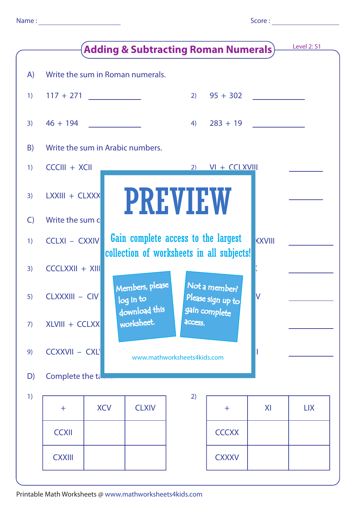|              | <b>Adding &amp; Subtracting Roman Numerals)</b> | <b>Level 2: S1</b>               |                                                                                                   |            |               |    |            |  |  |  |
|--------------|-------------------------------------------------|----------------------------------|---------------------------------------------------------------------------------------------------|------------|---------------|----|------------|--|--|--|
| A)           |                                                 |                                  | Write the sum in Roman numerals.                                                                  |            |               |    |            |  |  |  |
| 1)           | $117 + 271$                                     | <u> 1990 - Jan Jawa</u>          |                                                                                                   | 2)         | $95 + 302$    |    |            |  |  |  |
| 3)           | $46 + 194$                                      |                                  |                                                                                                   | $283 + 19$ |               |    |            |  |  |  |
| B)           |                                                 | Write the sum in Arabic numbers. |                                                                                                   |            |               |    |            |  |  |  |
| 1)           | $CCCIII + XCII$                                 |                                  |                                                                                                   |            |               |    |            |  |  |  |
| 3)           | LXXIII + CLXXX                                  |                                  | <b>PREVIEW</b>                                                                                    |            |               |    |            |  |  |  |
| $\mathsf{C}$ | Write the sum c                                 |                                  |                                                                                                   |            |               |    |            |  |  |  |
| 1)           | <b>CCLXI - CXXIV</b>                            |                                  | Gain complete access to the largest<br><b>KXVIII</b><br>collection of worksheets in all subjects! |            |               |    |            |  |  |  |
| 3)           | $CCCLXXII + XIII$                               |                                  |                                                                                                   |            |               |    |            |  |  |  |
| 5)           | CLXXXIII - CIV                                  |                                  | Members, please<br>Not a member?<br>Please sign up to<br>V<br>log in to                           |            |               |    |            |  |  |  |
| 7)           | XLVIII + CCLXX                                  |                                  | download this<br>worksheet.                                                                       | access.    | gain complete |    |            |  |  |  |
| 9)           | <b>CCXXVII - CXL</b>                            |                                  | www.mathworksheets4kids.com                                                                       |            |               |    |            |  |  |  |
| D)           | Complete the tall                               |                                  |                                                                                                   |            |               |    |            |  |  |  |
| 1)           |                                                 |                                  |                                                                                                   | 2)         |               |    |            |  |  |  |
|              | $\pm$                                           | <b>XCV</b>                       | <b>CLXIV</b>                                                                                      |            | $\pm$         | XI | <b>LIX</b> |  |  |  |
|              | <b>CCXII</b>                                    |                                  |                                                                                                   |            | <b>CCCXX</b>  |    |            |  |  |  |
|              | <b>CXXIII</b>                                   |                                  |                                                                                                   |            | <b>CXXXV</b>  |    |            |  |  |  |
|              |                                                 |                                  |                                                                                                   |            |               |    |            |  |  |  |

Printable Math Worksheets @ www.mathworksheets4kids.com